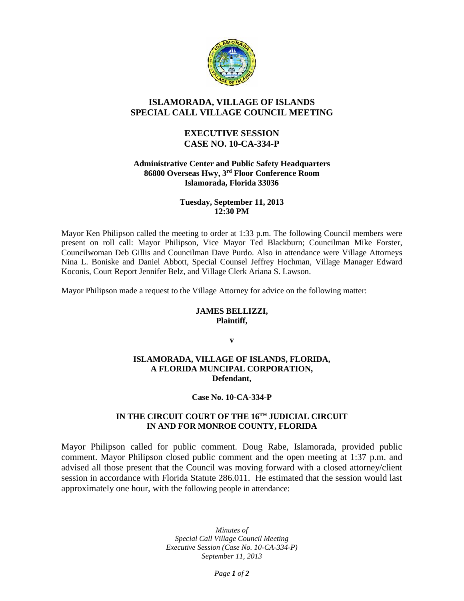

# **ISLAMORADA, VILLAGE OF ISLANDS SPECIAL CALL VILLAGE COUNCIL MEETING**

# **EXECUTIVE SESSION CASE NO. 10-CA-334-P**

#### **Administrative Center and Public Safety Headquarters 86800 Overseas Hwy, 3rd Floor Conference Room Islamorada, Florida 33036**

### **Tuesday, September 11, 2013 12:30 PM**

Mayor Ken Philipson called the meeting to order at 1:33 p.m. The following Council members were present on roll call: Mayor Philipson, Vice Mayor Ted Blackburn; Councilman Mike Forster, Councilwoman Deb Gillis and Councilman Dave Purdo. Also in attendance were Village Attorneys Nina L. Boniske and Daniel Abbott, Special Counsel Jeffrey Hochman, Village Manager Edward Koconis, Court Report Jennifer Belz, and Village Clerk Ariana S. Lawson.

Mayor Philipson made a request to the Village Attorney for advice on the following matter:

#### **JAMES BELLIZZI, Plaintiff,**

**v**

### **ISLAMORADA, VILLAGE OF ISLANDS, FLORIDA, A FLORIDA MUNCIPAL CORPORATION, Defendant,**

#### **Case No. 10-CA-334-P**

## **IN THE CIRCUIT COURT OF THE 16TH JUDICIAL CIRCUIT IN AND FOR MONROE COUNTY, FLORIDA**

Mayor Philipson called for public comment. Doug Rabe, Islamorada, provided public comment. Mayor Philipson closed public comment and the open meeting at 1:37 p.m. and advised all those present that the Council was moving forward with a closed attorney/client session in accordance with Florida Statute 286.011. He estimated that the session would last approximately one hour, with the following people in attendance:

> *Minutes of Special Call Village Council Meeting Executive Session (Case No. 10-CA-334-P) September 11, 2013*